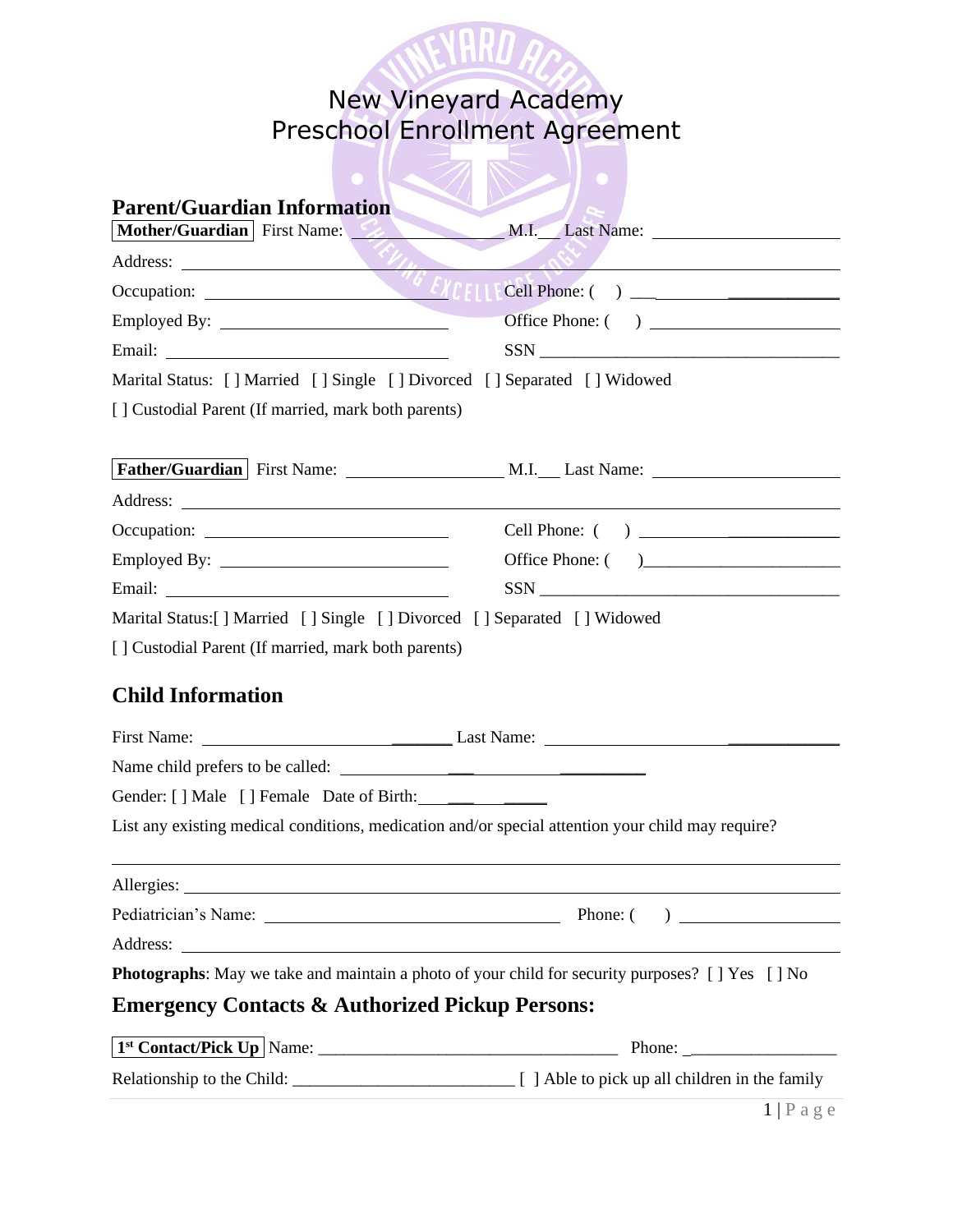

## New Vineyard Academy Preschool Enrollment Agreement

 $\overline{\mathbb{Z}}$ 

| <b>Parent/Guardian Information</b>                                       |                                                                                                          |
|--------------------------------------------------------------------------|----------------------------------------------------------------------------------------------------------|
| Mother/Guardian First Name:                                              | M.I. Last Name:                                                                                          |
|                                                                          | $\sim 0.2$                                                                                               |
|                                                                          |                                                                                                          |
| Employed By: 2000                                                        |                                                                                                          |
|                                                                          | $SSN$                                                                                                    |
| Marital Status: [] Married [] Single [] Divorced [] Separated [] Widowed |                                                                                                          |
| [] Custodial Parent (If married, mark both parents)                      |                                                                                                          |
|                                                                          |                                                                                                          |
|                                                                          |                                                                                                          |
|                                                                          |                                                                                                          |
|                                                                          |                                                                                                          |
|                                                                          | Office Phone: ()                                                                                         |
|                                                                          | $SSN$                                                                                                    |
| Marital Status: [] Married [] Single [] Divorced [] Separated [] Widowed |                                                                                                          |
| [] Custodial Parent (If married, mark both parents)                      |                                                                                                          |
| <b>Child Information</b>                                                 |                                                                                                          |
|                                                                          |                                                                                                          |
| Name child prefers to be called:                                         |                                                                                                          |
|                                                                          |                                                                                                          |
|                                                                          | List any existing medical conditions, medication and/or special attention your child may require?        |
|                                                                          |                                                                                                          |
|                                                                          |                                                                                                          |
|                                                                          |                                                                                                          |
|                                                                          | <b>Photographs:</b> May we take and maintain a photo of your child for security purposes? [ ] Yes [ ] No |
| <b>Emergency Contacts &amp; Authorized Pickup Persons:</b>               |                                                                                                          |
|                                                                          | Phone: $\sqrt{\frac{2}{1-\frac{1}{2}}$                                                                   |
|                                                                          |                                                                                                          |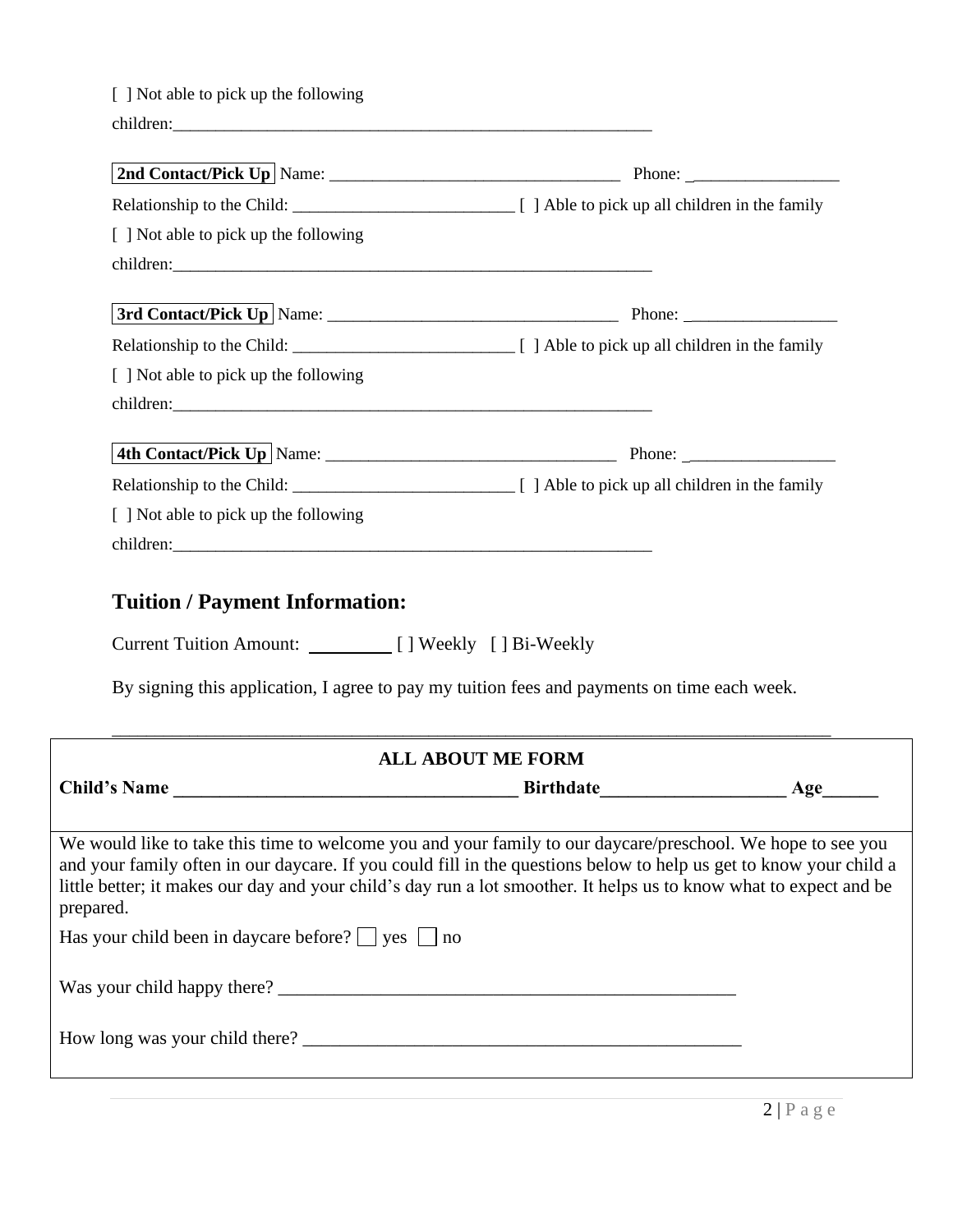| [ ] Not able to pick up the following                                    |                                                                                                                                                                                                                                                                                                                                                         |
|--------------------------------------------------------------------------|---------------------------------------------------------------------------------------------------------------------------------------------------------------------------------------------------------------------------------------------------------------------------------------------------------------------------------------------------------|
|                                                                          |                                                                                                                                                                                                                                                                                                                                                         |
|                                                                          |                                                                                                                                                                                                                                                                                                                                                         |
|                                                                          |                                                                                                                                                                                                                                                                                                                                                         |
| [ ] Not able to pick up the following                                    |                                                                                                                                                                                                                                                                                                                                                         |
|                                                                          |                                                                                                                                                                                                                                                                                                                                                         |
|                                                                          |                                                                                                                                                                                                                                                                                                                                                         |
| [ ] Not able to pick up the following                                    |                                                                                                                                                                                                                                                                                                                                                         |
|                                                                          |                                                                                                                                                                                                                                                                                                                                                         |
| <b>Tuition / Payment Information:</b>                                    |                                                                                                                                                                                                                                                                                                                                                         |
| Current Tuition Amount: [ ] Weekly [ ] Bi-Weekly                         |                                                                                                                                                                                                                                                                                                                                                         |
|                                                                          | By signing this application, I agree to pay my tuition fees and payments on time each week.                                                                                                                                                                                                                                                             |
|                                                                          | <b>ALL ABOUT ME FORM</b>                                                                                                                                                                                                                                                                                                                                |
|                                                                          |                                                                                                                                                                                                                                                                                                                                                         |
|                                                                          | We would like to take this time to welcome you and your family to our daycare/preschool. We hope to see you<br>and your family often in our daycare. If you could fill in the questions below to help us get to know your child a<br>little better; it makes our day and your child's day run a lot smoother. It helps us to know what to expect and be |
| prepared.<br>Has your child been in daycare before? $\Box$ yes $\Box$ no |                                                                                                                                                                                                                                                                                                                                                         |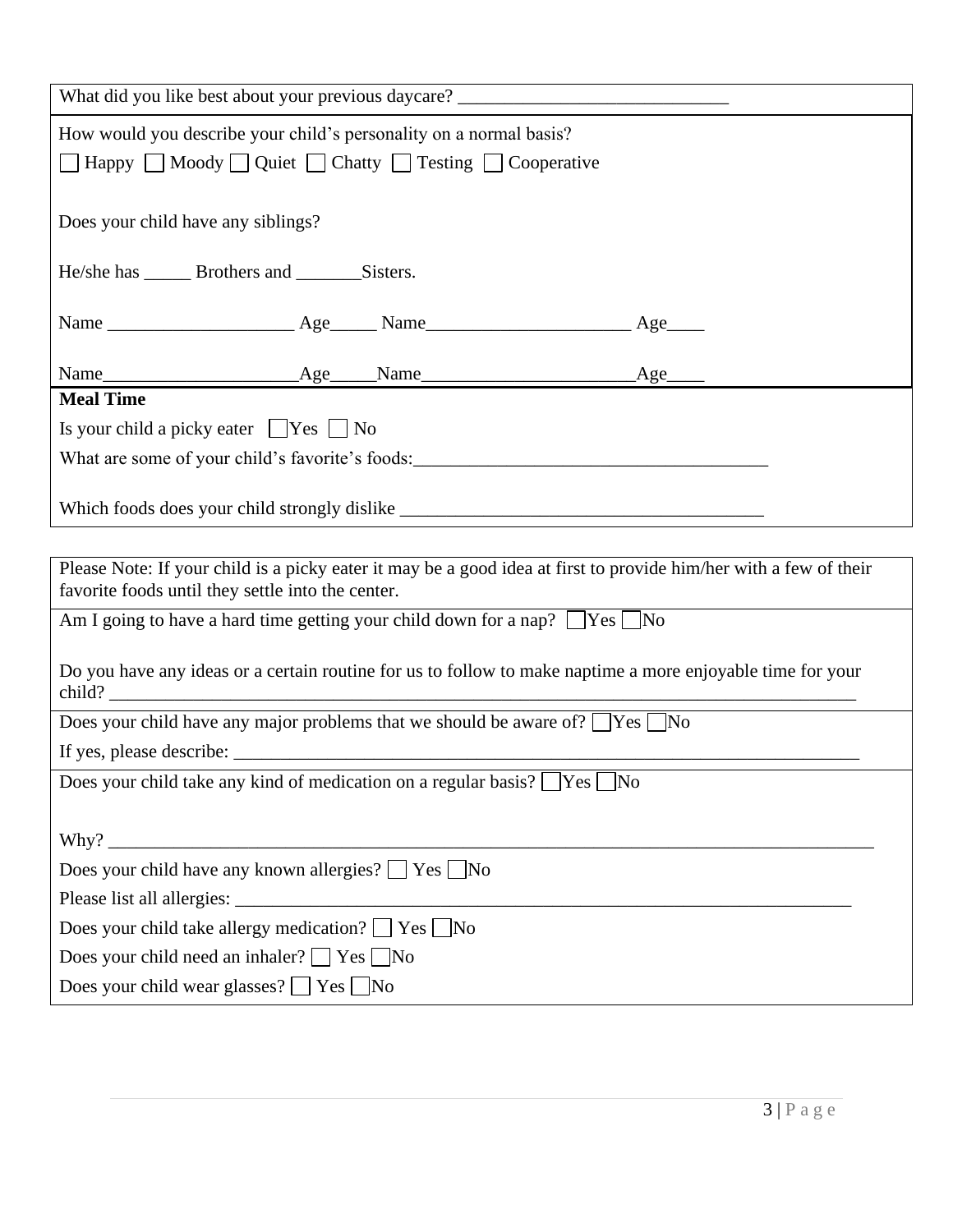| What did you like best about your previous daycare? ____________________________                                                                                       |  |  |     |  |  |
|------------------------------------------------------------------------------------------------------------------------------------------------------------------------|--|--|-----|--|--|
| How would you describe your child's personality on a normal basis?<br>□ Happy □ Moody □ Quiet □ Chatty □ Testing □ Cooperative                                         |  |  |     |  |  |
| Does your child have any siblings?                                                                                                                                     |  |  |     |  |  |
| He/she has ________ Brothers and _______________ Sisters.                                                                                                              |  |  |     |  |  |
|                                                                                                                                                                        |  |  | Age |  |  |
|                                                                                                                                                                        |  |  | Age |  |  |
| <b>Meal Time</b>                                                                                                                                                       |  |  |     |  |  |
| Is your child a picky eater $\Box$ Yes $\Box$ No                                                                                                                       |  |  |     |  |  |
|                                                                                                                                                                        |  |  |     |  |  |
|                                                                                                                                                                        |  |  |     |  |  |
|                                                                                                                                                                        |  |  |     |  |  |
| Please Note: If your child is a picky eater it may be a good idea at first to provide him/her with a few of their<br>favorite foods until they settle into the center. |  |  |     |  |  |
| Am I going to have a hard time getting your child down for a nap? $\Box$ Yes $\Box$ No                                                                                 |  |  |     |  |  |
| Do you have any ideas or a certain routine for us to follow to make naptime a more enjoyable time for your                                                             |  |  |     |  |  |
| Does your child have any major problems that we should be aware of? $\Box$ Yes $\Box$ No                                                                               |  |  |     |  |  |
|                                                                                                                                                                        |  |  |     |  |  |
| Does your child take any kind of medication on a regular basis? TYes No                                                                                                |  |  |     |  |  |
|                                                                                                                                                                        |  |  |     |  |  |
|                                                                                                                                                                        |  |  |     |  |  |
| Does your child have any known allergies? □ Yes □ No                                                                                                                   |  |  |     |  |  |
| Does your child take allergy medication? Tes No                                                                                                                        |  |  |     |  |  |
| Does your child need an inhaler? □ Yes □ No                                                                                                                            |  |  |     |  |  |
| Does your child wear glasses? $\Box$ Yes $\Box$ No                                                                                                                     |  |  |     |  |  |
|                                                                                                                                                                        |  |  |     |  |  |